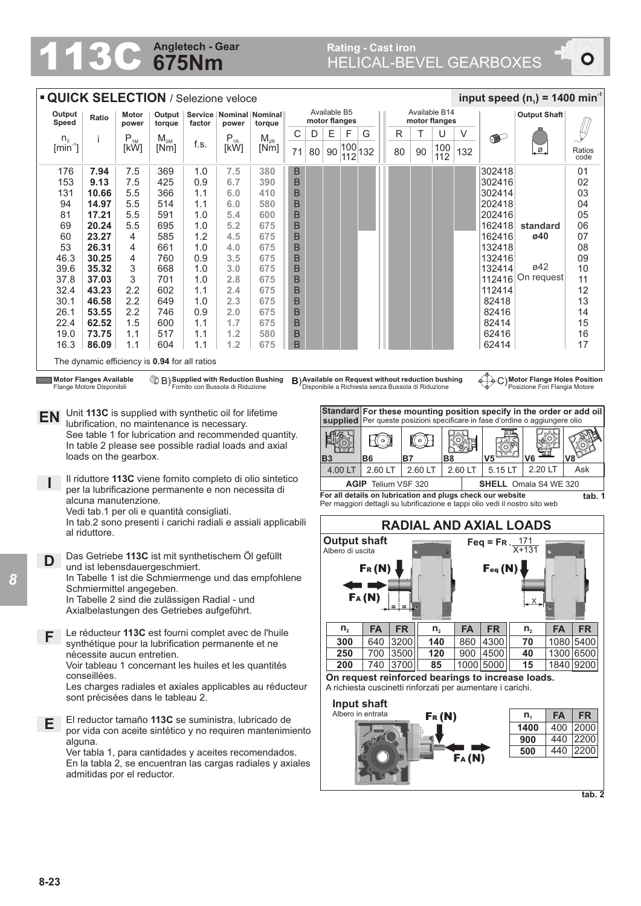## **675Nm Angletech - Gear**

 $\bullet$ 

| <b>QUICK SELECTION / Selezione veloce</b>                                                                                                                                                  |                                                                             |                                                                                                                                          |                            |                                                       |            |                                        |                                                            |                   |                               |                                                                                                                 |                                                       |                     |         |                                                    | input speed $(n_1)$ = 1400 min <sup>-1</sup>               |                                                                              |                               |                              |                                |           |                  |
|--------------------------------------------------------------------------------------------------------------------------------------------------------------------------------------------|-----------------------------------------------------------------------------|------------------------------------------------------------------------------------------------------------------------------------------|----------------------------|-------------------------------------------------------|------------|----------------------------------------|------------------------------------------------------------|-------------------|-------------------------------|-----------------------------------------------------------------------------------------------------------------|-------------------------------------------------------|---------------------|---------|----------------------------------------------------|------------------------------------------------------------|------------------------------------------------------------------------------|-------------------------------|------------------------------|--------------------------------|-----------|------------------|
| Output<br>Speed                                                                                                                                                                            |                                                                             | Ratio                                                                                                                                    | Motor<br>power             | Output $ $<br>torque                                  | factor     | Service   Nominal   Nominal  <br>power | torque                                                     |                   | Available B5<br>motor flanges |                                                                                                                 |                                                       |                     |         | Available B14<br>motor flanges                     |                                                            |                                                                              |                               |                              | <b>Output Shaft</b>            |           |                  |
|                                                                                                                                                                                            | ${\sf n}_{\scriptscriptstyle 2}$                                            |                                                                                                                                          | $\mathsf{P}_{\textsc{1M}}$ | $M_{2M}$                                              |            | $P_{1R}$                               | $M_{2R}$                                                   | С                 | D                             | Е                                                                                                               | F                                                     | G                   |         | R                                                  | Τ                                                          | U                                                                            | V                             |                              |                                |           |                  |
|                                                                                                                                                                                            | $[min^{-1}]$                                                                |                                                                                                                                          | [kW]                       | [Nm]                                                  | f.s.       | [kW]                                   | [Nm]                                                       | 71                | 80                            | 90                                                                                                              | $\begin{array}{ c c }\n 100 \\ 112\n \end{array}$ 132 |                     |         | 80                                                 | 90                                                         | 100<br>112                                                                   | 132                           |                              | Ø                              |           | Ratios<br>code   |
| 176                                                                                                                                                                                        |                                                                             | 7.94                                                                                                                                     | 7.5                        | 369                                                   | 1.0        | 7.5                                    | 380                                                        | $\sf B$           |                               |                                                                                                                 |                                                       |                     |         |                                                    |                                                            |                                                                              |                               | 302418                       |                                |           | 01               |
| 153<br>131                                                                                                                                                                                 |                                                                             | 9.13                                                                                                                                     | 7.5                        | 425                                                   | 0.9        | 6.7                                    | 390                                                        | B                 |                               |                                                                                                                 |                                                       |                     |         |                                                    |                                                            |                                                                              |                               | 302416                       |                                |           | 02               |
|                                                                                                                                                                                            | 94                                                                          | 10.66<br>14.97                                                                                                                           | 5.5<br>5.5                 | 366<br>514                                            | 1.1<br>1.1 | 6.0<br>$6.0\,$                         | 410<br>580                                                 | B<br>B            |                               |                                                                                                                 |                                                       |                     |         |                                                    |                                                            |                                                                              |                               | 302414<br>202418             |                                |           | 03<br>04         |
| 81                                                                                                                                                                                         |                                                                             | 17.21                                                                                                                                    | 5.5                        | 591                                                   | 1.0        | 5.4                                    | 600                                                        | B                 |                               |                                                                                                                 |                                                       |                     |         |                                                    |                                                            |                                                                              |                               | 202416                       |                                |           | 05               |
|                                                                                                                                                                                            | 69                                                                          | 20.24                                                                                                                                    | 5.5                        | 695                                                   | 1.0        | 5.2                                    | 675                                                        | B                 |                               |                                                                                                                 |                                                       |                     |         |                                                    |                                                            |                                                                              |                               | 162418                       | standard                       |           | 06               |
|                                                                                                                                                                                            | 60                                                                          | 23.27                                                                                                                                    | 4                          | 585                                                   | 1.2        | 4.5                                    | 675                                                        | B                 |                               |                                                                                                                 |                                                       |                     |         |                                                    |                                                            |                                                                              |                               | 162416                       | ø40                            |           | 07               |
|                                                                                                                                                                                            | 53<br>46.3                                                                  | 26.31<br>30.25                                                                                                                           | 4<br>4                     | 661<br>760                                            | 1.0<br>0.9 | 4.0<br>3.5                             | 675<br>675                                                 | B<br>B            |                               |                                                                                                                 |                                                       |                     |         |                                                    |                                                            |                                                                              |                               | 132418<br>132416             |                                |           | 08<br>09         |
| 39.6                                                                                                                                                                                       |                                                                             | 35.32                                                                                                                                    | 3                          | 668                                                   | 1.0        | 3.0                                    | 675                                                        | B                 |                               |                                                                                                                 |                                                       |                     |         |                                                    |                                                            |                                                                              |                               | 132414                       | ø42                            |           | 10               |
| 37.8                                                                                                                                                                                       |                                                                             | 37.03                                                                                                                                    | 3                          | 701                                                   | 1.0        | 2.8                                    | 675                                                        | B                 |                               |                                                                                                                 |                                                       |                     |         |                                                    |                                                            |                                                                              |                               | 112416                       | On request                     |           | 11               |
| 32.4                                                                                                                                                                                       |                                                                             | 43.23                                                                                                                                    | 2.2                        | 602                                                   | 1.1        | 2.4                                    | 675                                                        | B                 |                               |                                                                                                                 |                                                       |                     |         |                                                    |                                                            |                                                                              |                               | 112414                       |                                |           | 12               |
| 30.1                                                                                                                                                                                       |                                                                             | 46.58                                                                                                                                    | 2.2                        | 649                                                   | 1.0        | 2.3                                    | 675                                                        | B                 |                               |                                                                                                                 |                                                       |                     |         |                                                    |                                                            |                                                                              |                               | 82418                        |                                |           | 13               |
| 26.1<br>22.4                                                                                                                                                                               |                                                                             | 53.55<br>62.52                                                                                                                           | 2.2<br>1.5                 | 746<br>600                                            | 0.9<br>1.1 | 2.0<br>1.7                             | 675<br>675                                                 | B<br>B            |                               |                                                                                                                 |                                                       |                     |         |                                                    |                                                            |                                                                              |                               | 82416<br>82414               |                                |           | 14<br>15         |
|                                                                                                                                                                                            | 19.0                                                                        | 73.75                                                                                                                                    | 1.1                        | 517                                                   | 1.1        | 1.2                                    | 580                                                        | B                 |                               |                                                                                                                 |                                                       |                     |         |                                                    |                                                            |                                                                              |                               | 62416                        |                                |           | 16               |
|                                                                                                                                                                                            | 16.3                                                                        | 86.09                                                                                                                                    | 1.1                        | 604                                                   | 1.1        | 1.2                                    | 675                                                        | B                 |                               |                                                                                                                 |                                                       |                     |         |                                                    |                                                            |                                                                              |                               | 62414                        |                                |           | 17               |
|                                                                                                                                                                                            |                                                                             |                                                                                                                                          |                            | The dynamic efficiency is 0.94 for all ratios         |            |                                        |                                                            |                   |                               |                                                                                                                 |                                                       |                     |         |                                                    |                                                            |                                                                              |                               |                              |                                |           |                  |
|                                                                                                                                                                                            |                                                                             | <b>Motor Flanges Available</b>                                                                                                           |                            |                                                       |            |                                        | $\mathbb{Q}$ $\mathsf{B}$ Supplied with Reduction Bushing  |                   |                               |                                                                                                                 |                                                       |                     |         | B) Available on Request without reduction bushing  |                                                            |                                                                              |                               |                              | C) Motor Flange Holes Position |           |                  |
|                                                                                                                                                                                            |                                                                             | Flange Motore Disponibili                                                                                                                |                            |                                                       |            | Fornito con Bussola di Riduzione       |                                                            |                   |                               |                                                                                                                 |                                                       |                     |         | Disponibile a Richiesta senza Bussola di Riduzione |                                                            |                                                                              |                               |                              | Posizione Fori Flangia Motore  |           |                  |
|                                                                                                                                                                                            | Standard For these mounting position specify in the order or add oil        |                                                                                                                                          |                            |                                                       |            |                                        |                                                            |                   |                               |                                                                                                                 |                                                       |                     |         |                                                    |                                                            |                                                                              |                               |                              |                                |           |                  |
| Unit 113C is supplied with synthetic oil for lifetime<br>EN<br>supplied Per queste posizioni specificare in fase d'ordine o aggiungere olio<br>lubrification, no maintenance is necessary. |                                                                             |                                                                                                                                          |                            |                                                       |            |                                        |                                                            |                   |                               |                                                                                                                 |                                                       |                     |         |                                                    |                                                            |                                                                              |                               |                              |                                |           |                  |
|                                                                                                                                                                                            |                                                                             |                                                                                                                                          |                            | See table 1 for lubrication and recommended quantity. |            |                                        |                                                            |                   |                               |                                                                                                                 | IR(O)                                                 |                     | HO)     |                                                    | OF                                                         |                                                                              |                               |                              |                                |           |                  |
|                                                                                                                                                                                            |                                                                             | In table 2 please see possible radial loads and axial                                                                                    |                            |                                                       |            |                                        |                                                            |                   |                               |                                                                                                                 | IYOY                                                  |                     |         |                                                    |                                                            |                                                                              |                               |                              | Ш                              |           |                  |
| loads on the gearbox.                                                                                                                                                                      |                                                                             |                                                                                                                                          |                            |                                                       |            |                                        |                                                            | <b>B3</b>         | 4.00 LT                       | <b>B6</b><br>2.60 LT                                                                                            |                                                       | <b>B7</b>           | 2.60 LT | <b>B8</b>                                          | 2.60 LT                                                    | V <sub>5</sub><br>5.15 LT                                                    | V6<br>2.20 LT                 |                              | Ask                            |           |                  |
| Il riduttore 113C viene fornito completo di olio sintetico                                                                                                                                 |                                                                             |                                                                                                                                          |                            |                                                       |            |                                        | <b>AGIP</b> Telium VSF 320<br><b>SHELL</b> Omala S4 WE 320 |                   |                               |                                                                                                                 |                                                       |                     |         |                                                    |                                                            |                                                                              |                               |                              |                                |           |                  |
|                                                                                                                                                                                            | per la lubrificazione permanente e non necessita di<br>alcuna manutenzione. |                                                                                                                                          |                            |                                                       |            |                                        |                                                            |                   |                               |                                                                                                                 |                                                       |                     |         |                                                    | For all details on lubrication and plugs check our website |                                                                              |                               | tab. 1                       |                                |           |                  |
| Vedi tab.1 per oli e quantità consigliati.                                                                                                                                                 |                                                                             |                                                                                                                                          |                            |                                                       |            |                                        |                                                            |                   |                               |                                                                                                                 |                                                       |                     |         |                                                    |                                                            | Per maggiori dettagli su lubrificazione e tappi olio vedi il nostro sito web |                               |                              |                                |           |                  |
| In tab.2 sono presenti i carichi radiali e assiali applicabili                                                                                                                             |                                                                             |                                                                                                                                          |                            |                                                       |            |                                        |                                                            |                   |                               |                                                                                                                 |                                                       |                     |         |                                                    |                                                            |                                                                              | <b>RADIAL AND AXIAL LOADS</b> |                              |                                |           |                  |
|                                                                                                                                                                                            |                                                                             | al riduttore.                                                                                                                            |                            |                                                       |            |                                        |                                                            |                   |                               |                                                                                                                 |                                                       | <b>Output shaft</b> |         |                                                    |                                                            |                                                                              |                               | Feq = FR $\frac{171}{X+131}$ |                                |           |                  |
|                                                                                                                                                                                            |                                                                             |                                                                                                                                          |                            |                                                       |            |                                        |                                                            |                   |                               |                                                                                                                 | Albero di uscita                                      |                     |         |                                                    |                                                            |                                                                              |                               |                              |                                |           |                  |
| Das Getriebe 113C ist mit synthetischem Öl gefüllt<br>D<br>und ist lebensdauergeschmiert.                                                                                                  |                                                                             |                                                                                                                                          |                            |                                                       |            |                                        |                                                            |                   |                               |                                                                                                                 |                                                       | Fr(N)               |         |                                                    |                                                            |                                                                              |                               | Геq (N)                      |                                |           |                  |
|                                                                                                                                                                                            | In Tabelle 1 ist die Schmiermenge und das empfohlene                        |                                                                                                                                          |                            |                                                       |            |                                        |                                                            |                   |                               |                                                                                                                 |                                                       |                     |         |                                                    |                                                            |                                                                              |                               |                              |                                |           |                  |
|                                                                                                                                                                                            | Schmiermittel angegeben.<br>In Tabelle 2 sind die zulässigen Radial - und   |                                                                                                                                          |                            |                                                       |            |                                        |                                                            |                   |                               | FA(M)                                                                                                           |                                                       |                     |         |                                                    |                                                            |                                                                              |                               |                              |                                |           |                  |
| Axialbelastungen des Getriebes aufgeführt.                                                                                                                                                 |                                                                             |                                                                                                                                          |                            |                                                       |            |                                        |                                                            |                   |                               |                                                                                                                 |                                                       |                     |         | $\equiv$                                           |                                                            |                                                                              |                               |                              |                                |           |                  |
|                                                                                                                                                                                            |                                                                             |                                                                                                                                          |                            |                                                       |            |                                        |                                                            |                   |                               |                                                                                                                 | $n_{2}$                                               | <b>FA</b>           |         | <b>FR</b>                                          |                                                            | $n_{2}$                                                                      | FA                            | <b>FR</b>                    | $n_{2}$                        | <b>FA</b> | <b>FR</b>        |
| F                                                                                                                                                                                          |                                                                             | Le réducteur 113C est fourni complet avec de l'huile<br>synthétique pour la lubrification permanente et ne<br>nécessite aucun entretien. |                            |                                                       |            |                                        |                                                            |                   |                               |                                                                                                                 | 300                                                   |                     |         | 640 3200                                           |                                                            | 140                                                                          |                               | 860 4300                     | 70                             |           | 1080 5400        |
|                                                                                                                                                                                            |                                                                             |                                                                                                                                          |                            |                                                       |            |                                        |                                                            |                   |                               |                                                                                                                 | 250                                                   |                     |         | 700 3500                                           |                                                            | 120                                                                          |                               | 900 4500                     | 40                             |           | 1300 6500        |
|                                                                                                                                                                                            | Voir tableau 1 concernant les huiles et les quantités<br>conseillées.       |                                                                                                                                          |                            |                                                       |            |                                        | 200                                                        |                   |                               | 740 3700                                                                                                        |                                                       | 85                  |         | 1000 5000                                          | 15                                                         |                                                                              | 1840 9200                     |                              |                                |           |                  |
| Les charges radiales et axiales applicables au réducteur                                                                                                                                   |                                                                             |                                                                                                                                          |                            |                                                       |            |                                        |                                                            |                   |                               | On request reinforced bearings to increase loads.<br>A richiesta cuscinetti rinforzati per aumentare i carichi. |                                                       |                     |         |                                                    |                                                            |                                                                              |                               |                              |                                |           |                  |
| sont précisées dans le tableau 2.<br>Input shaft                                                                                                                                           |                                                                             |                                                                                                                                          |                            |                                                       |            |                                        |                                                            |                   |                               |                                                                                                                 |                                                       |                     |         |                                                    |                                                            |                                                                              |                               |                              |                                |           |                  |
| El reductor tamaño 113C se suministra, lubricado de<br>Е                                                                                                                                   |                                                                             |                                                                                                                                          |                            |                                                       |            |                                        |                                                            | Albero in entrata |                               |                                                                                                                 |                                                       | Fr(M)               |         |                                                    | $n_{1}$                                                    | <b>FA</b>                                                                    | <b>FR</b>                     |                              |                                |           |                  |
|                                                                                                                                                                                            | por vida con aceite sintético y no requiren mantenimiento                   |                                                                                                                                          |                            |                                                       |            |                                        |                                                            |                   |                               |                                                                                                                 |                                                       |                     |         |                                                    |                                                            |                                                                              |                               |                              | 1400                           | 400       | 2000             |
|                                                                                                                                                                                            |                                                                             | alguna.<br>Ver tabla 1, para cantidades y aceites recomendados.                                                                          |                            |                                                       |            |                                        |                                                            |                   |                               |                                                                                                                 |                                                       |                     |         |                                                    |                                                            |                                                                              |                               |                              | 900<br>500                     | 440       | 440 2200<br>2200 |
|                                                                                                                                                                                            |                                                                             | En la tabla 2, se encuentran las cargas radiales y axiales                                                                               |                            |                                                       |            |                                        |                                                            |                   |                               |                                                                                                                 |                                                       |                     |         |                                                    |                                                            |                                                                              | FA(M)                         |                              |                                |           |                  |
|                                                                                                                                                                                            |                                                                             | admitidas por el reductor.                                                                                                               |                            |                                                       |            |                                        |                                                            |                   |                               |                                                                                                                 |                                                       |                     |         |                                                    |                                                            |                                                                              |                               |                              |                                |           |                  |
|                                                                                                                                                                                            |                                                                             |                                                                                                                                          |                            |                                                       |            |                                        |                                                            |                   |                               |                                                                                                                 |                                                       |                     |         |                                                    |                                                            |                                                                              |                               |                              |                                |           | tab. 2           |

*8*